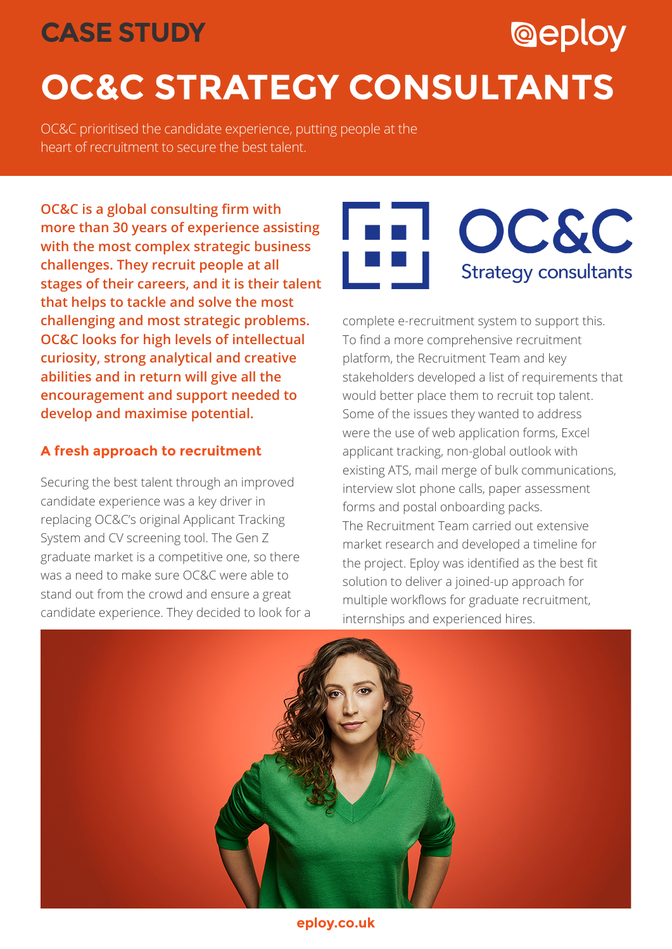# **CASE STUDY**

# **OC&C STRATEGY CONSULTANTS**

OC&C prioritised the candidate experience, putting people at the heart of recruitment to secure the best talent.

**OC&C is a global consulting firm with more than 30 years of experience assisting with the most complex strategic business challenges. They recruit people at all stages of their careers, and it is their talent that helps to tackle and solve the most challenging and most strategic problems. OC&C looks for high levels of intellectual curiosity, strong analytical and creative abilities and in return will give all the encouragement and support needed to develop and maximise potential.** 

## **A fresh approach to recruitment**

Securing the best talent through an improved candidate experience was a key driver in replacing OC&C's original Applicant Tracking System and CV screening tool. The Gen Z graduate market is a competitive one, so there was a need to make sure OC&C were able to stand out from the crowd and ensure a great candidate experience. They decided to look for a



**@eploy** 

complete e-recruitment system to support this. To find a more comprehensive recruitment platform, the Recruitment Team and key stakeholders developed a list of requirements that would better place them to recruit top talent. Some of the issues they wanted to address were the use of web application forms, Excel applicant tracking, non-global outlook with existing ATS, mail merge of bulk communications, interview slot phone calls, paper assessment forms and postal onboarding packs. The Recruitment Team carried out extensive market research and developed a timeline for the project. Eploy was identified as the best fit solution to deliver a joined-up approach for multiple workflows for graduate recruitment, internships and experienced hires.



**eploy.co.uk**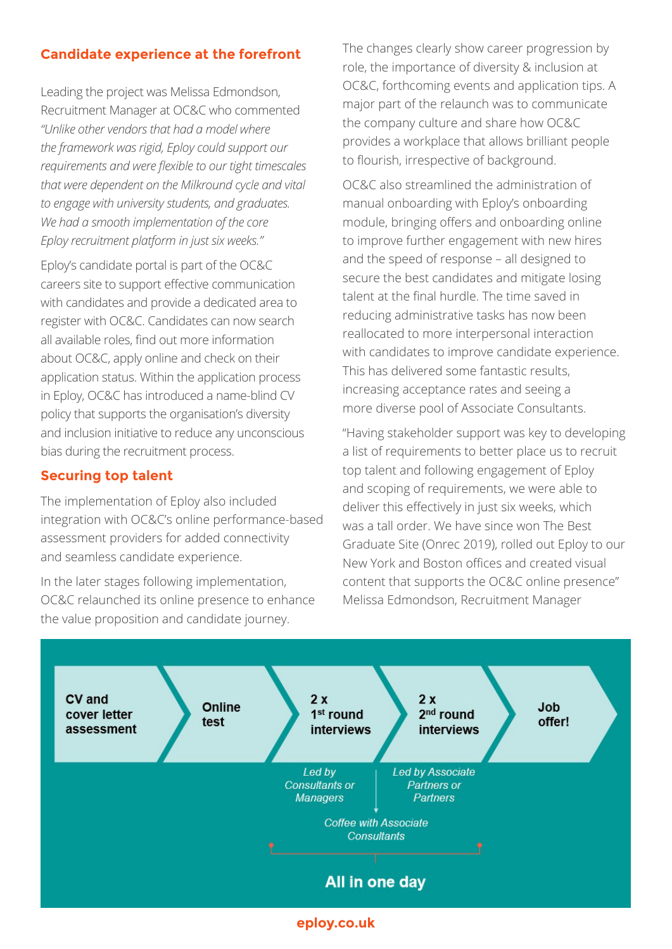### **Candidate experience at the forefront**

Leading the project was Melissa Edmondson, Recruitment Manager at OC&C who commented *"Unlike other vendors that had a model where the framework was rigid, Eploy could support our requirements and were flexible to our tight timescales that were dependent on the Milkround cycle and vital to engage with university students, and graduates. We had a smooth implementation of the core Eploy recruitment platform in just six weeks."*

Eploy's candidate portal is part of the OC&C careers site to support effective communication with candidates and provide a dedicated area to register with OC&C. Candidates can now search all available roles, find out more information about OC&C, apply online and check on their application status. Within the application process in Eploy, OC&C has introduced a name-blind CV policy that supports the organisation's diversity and inclusion initiative to reduce any unconscious bias during the recruitment process.

#### **Securing top talent**

The implementation of Eploy also included integration with OC&C's online performance-based assessment providers for added connectivity and seamless candidate experience.

In the later stages following implementation, OC&C relaunched its online presence to enhance the value proposition and candidate journey.

The changes clearly show career progression by role, the importance of diversity & inclusion at OC&C, forthcoming events and application tips. A major part of the relaunch was to communicate the company culture and share how OC&C provides a workplace that allows brilliant people to flourish, irrespective of background.

OC&C also streamlined the administration of manual onboarding with Eploy's onboarding module, bringing offers and onboarding online to improve further engagement with new hires and the speed of response – all designed to secure the best candidates and mitigate losing talent at the final hurdle. The time saved in reducing administrative tasks has now been reallocated to more interpersonal interaction with candidates to improve candidate experience. This has delivered some fantastic results, increasing acceptance rates and seeing a more diverse pool of Associate Consultants.

"Having stakeholder support was key to developing a list of requirements to better place us to recruit top talent and following engagement of Eploy and scoping of requirements, we were able to deliver this effectively in just six weeks, which was a tall order. We have since won The Best Graduate Site (Onrec 2019), rolled out Eploy to our New York and Boston offices and created visual content that supports the OC&C online presence" Melissa Edmondson, Recruitment Manager

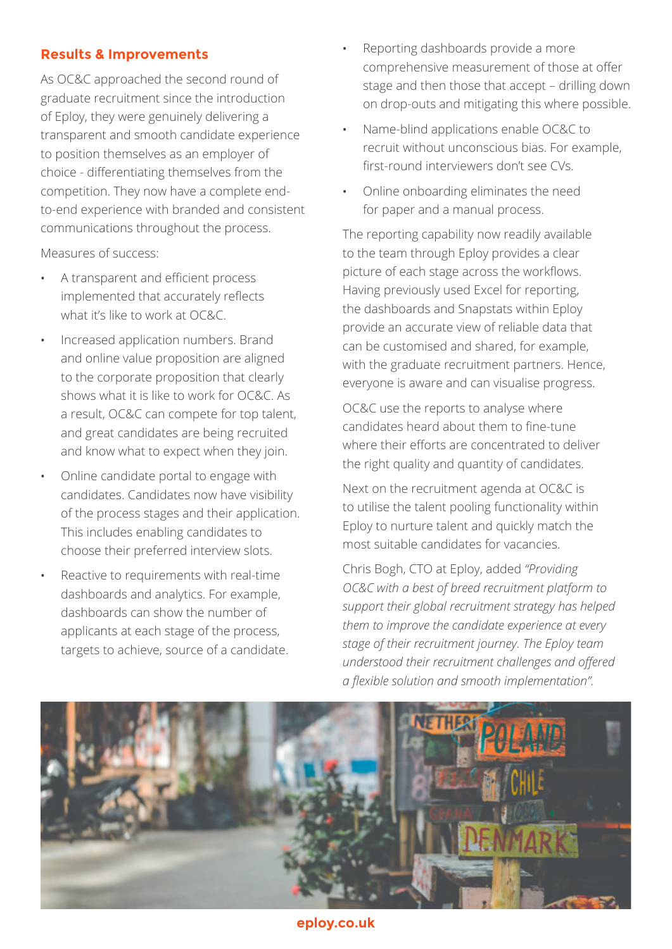#### **Results & Improvements**

As OC&C approached the second round of graduate recruitment since the introduction of Eploy, they were genuinely delivering a transparent and smooth candidate experience to position themselves as an employer of choice - differentiating themselves from the competition. They now have a complete endto-end experience with branded and consistent communications throughout the process.

Measures of success:

- A transparent and efficient process implemented that accurately reflects what it's like to work at OC&C.
- Increased application numbers. Brand and online value proposition are aligned to the corporate proposition that clearly shows what it is like to work for OC&C. As a result, OC&C can compete for top talent, and great candidates are being recruited and know what to expect when they join.
- Online candidate portal to engage with candidates. Candidates now have visibility of the process stages and their application. This includes enabling candidates to choose their preferred interview slots.
- Reactive to requirements with real-time dashboards and analytics. For example, dashboards can show the number of applicants at each stage of the process, targets to achieve, source of a candidate.
- Reporting dashboards provide a more comprehensive measurement of those at offer stage and then those that accept – drilling down on drop-outs and mitigating this where possible.
- Name-blind applications enable OC&C to recruit without unconscious bias. For example, first-round interviewers don't see CVs.
- Online onboarding eliminates the need for paper and a manual process.

The reporting capability now readily available to the team through Eploy provides a clear picture of each stage across the workflows. Having previously used Excel for reporting, the dashboards and Snapstats within Eploy provide an accurate view of reliable data that can be customised and shared, for example, with the graduate recruitment partners. Hence, everyone is aware and can visualise progress.

OC&C use the reports to analyse where candidates heard about them to fine-tune where their efforts are concentrated to deliver the right quality and quantity of candidates.

Next on the recruitment agenda at OC&C is to utilise the talent pooling functionality within Eploy to nurture talent and quickly match the most suitable candidates for vacancies.

Chris Bogh, CTO at Eploy, added *"Providing OC&C with a best of breed recruitment platform to support their global recruitment strategy has helped them to improve the candidate experience at every stage of their recruitment journey. The Eploy team understood their recruitment challenges and offered a flexible solution and smooth implementation".*



**eploy.co.uk**